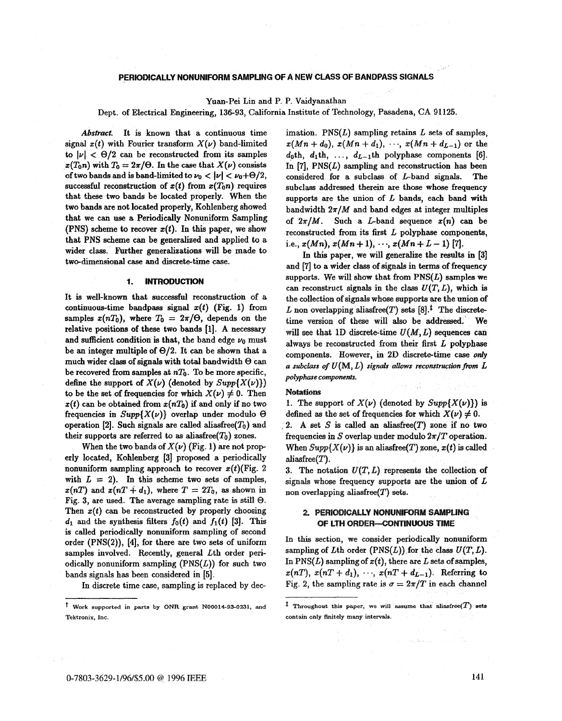# PERIODICALLY NONUNIFORM SAMPLING OF A NEW CLASS OF BANDPASS SIGNALS

Yuan-Pei Lin and P. P. Vaidyanathan

Dept. of Electrical Engineering, **136-93,** California Institute of Technology, Pasadena, CA 91125.

*Abstract.* It is known that a continuous time signal  $x(t)$  with Fourier transform  $X(\nu)$  band-limited to  $|\nu| < \Theta/2$  can be reconstructed from its samples  $x(T_0n)$  with  $T_0 = 2\pi/\Theta$ . In the case that  $X(\nu)$  consists of two bands and is band-limited to  $\nu_0 < |\nu| < \nu_0 + \Theta/2$ , successful reconstruction of  $x(t)$  from  $x(T_0n)$  requires that these two bands be located properly. When the two bands are not located properly, Kohlenberg showed that we can **use** a Periodically Nonuniform Sampling (PNS) scheme to recover  $x(t)$ . In this paper, we show that PNS scheme can be generalized and applied to a wider class. Further generalizations will be made to two-dimensional case and discrete-time case.

#### **1. INTRODUCTION**

It is well-known that successful reconstruction of a continuous-time bandpass signal  $x(t)$  (Fig. 1) from samples  $x(nT_0)$ , where  $T_0 = 2\pi/\Theta$ , depends on the relative positions of these two bands **fl].** A necessary and sufficient condition is that, the band edge  $\nu_0$  must be an integer multiple of  $\Theta/2$ . It can be shown that a much wider class of signals with total bandwidth *8* can be recovered from samples at  $nT_0$ . To be more specific, define the support of  $X(\nu)$  (denoted by  $Supp\{X(\nu)\}\$ ) to be the set of frequencies for which  $X(\nu) \neq 0$ . Then  $x(t)$  can be obtained from  $x(nT_0)$  if and only if no two frequencies in  $Supp\{X(\nu)\}$  overlap under modulo  $\Theta$ operation [2]. Such signals are called aliasfree( $T_0$ ) and their supports are referred to as aliasfree $(T_0)$  zones.

When the two bands of  $X(\nu)$  (Fig. 1) are not properly located, Kohlenberg [3] proposed a periodically aliasfree(T). nonuniform sampling approach to recover  $x(t)$ (Fig. 2) with  $L = 2$ . In this scheme two sets of samples,  $z(nT)$  and  $z(nT + d_1)$ , where  $T = 2T_0$ , as shown in Fig. 3, are used. The average sampling rate is still  $\Theta$ . Then  $x(t)$  can be reconstructed by properly choosing  $d_1$  and the synthesis filters  $f_0(t)$  and  $f_1(t)$  [3]. This **is** called periodically nonuniform sampling of second order (PNS(2)), **[4],** for there are two sets of uniform samples involved. Recently, general Lth order periodically nonuniform sampling  $(PNS(L))$  for such two bands signals has been considered in [5].

In discrete time case, sampling is replaced by dec-

imation.  $PNS(L)$  sampling retains  $L$  sets of samples,  $x(Mn + d_0), x(Mn + d_1), \dots, x(Mn + d_{L-1})$  or the  $d_0$ th,  $d_1$ th, ...,  $d_{L-1}$ th polyphase components [6]. In  $[7]$ , PNS $(L)$  sampling and reconstruction has been considered for a subclass of L-band **signals.** The subclass addressed therein are those whose frequency supports are the union of  $L$  bands, each band with bandwidth  $2\pi/M$  and band edges at integer multiples of  $2\pi/M$ . Such a *L*-band sequence  $x(n)$  can be reconstructed from its first L polyphase components, i.e.,  $x(Mn)$ ,  $x(Mn+1)$ ,  $\cdots$ ,  $x(Mn+L-1)$  [7].

In this paper, we will generalize the **results** in **[3]**  and [7] to a wider class of signals in terms of frequency supports. We will show that from  $PNS(L)$  samples we can reconstruct signals in the class  $U(T, L)$ , which is the collection of signals whose supports are the union of L non overlapping aliasfree(T) sets  $[8].^{\ddagger}$  The discretetime version of these will also be addressed. We will see that 1D discrete-time  $U(M, L)$  sequences can always be reconstructed from their first  $L$  polyphase components. However, in 2D discrete-time case only a subclass of  $U(M, L)$  signals allows reconstruction from  $L$  $p$ olyphase *components*.

### **Notations**

1. The support of  $X(\nu)$  (denoted by  $Supp\{X(\nu)\}\)$  is defined as the set of frequencies for which  $X(\nu) \neq 0$ .

2. A set  $S$  is called an aliasfree $(T)$  zone if no two frequencies in S overlap under modulo  $2\pi/T$  operation. When  $Supp\{X(\nu)\}\$ is an aliasfree $(T)$  zone,  $x(t)$  is called

3. The notation  $U(T, L)$  represents the collection of signals whose frequency supports are the union of  $L$ non overlapping aliasfree $(T)$  sets.

### 2. PERIODICALLY NONUNIFORM SAMPLING OF LTH ORDER-CONTINUOUS TIME

In this section, we consider periodically nonuniform sampling of Lth order  $(PNS(L))$  for the class  $U(T, L)$ . In  $PNS(L)$  sampling of  $x(t)$ , there are  $L$  sets of samples,  $x(nT), x(nT + d_1), \dots, x(nT + d_{L-1}).$  Referring to Fig. 2, the sampling rate is  $\sigma = 2\pi/T$  in each channel

and Sales Co.

**Work supported in parts by ONR grant NQQ014-93-0231, and Tektronix, Inc.** 

 $\ddagger$  Throughout this paper, we will assume that aliasfree( $T$ ) sets **contain only finitely many intervals.**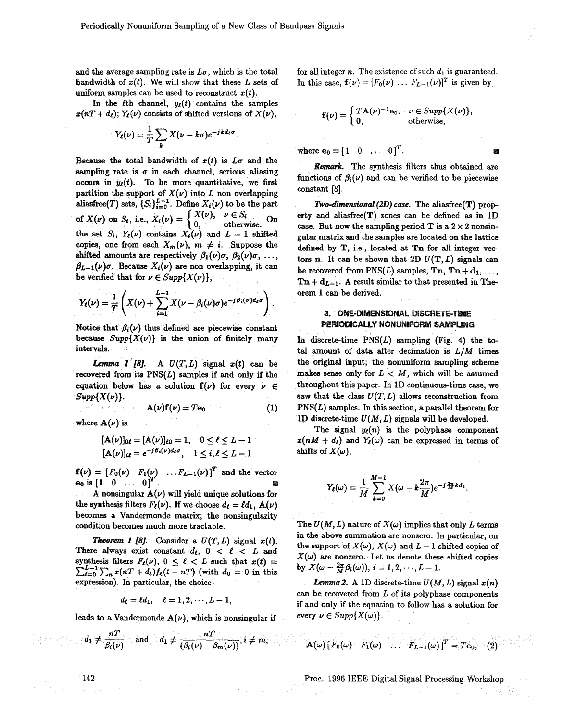and the average sampling rate is  $L\sigma$ , which is the total **bandwidth of**  $x(t)$ **. We will show that these L sets of** uniform samples can be used to reconstruct  $x(t)$ .

In the *l*<sup>th</sup> channel,  $y_{\ell}(t)$  contains the samples  $x(nT + d_{\ell}); Y_{\ell}(\nu)$  consists of shifted versions of  $X(\nu)$ ,

$$
Y_{\ell}(\nu)=\frac{1}{T}\sum_{k}X(\nu-k\sigma)e^{-jkd_{\ell}\sigma}
$$

Because the total bandwidth of  $x(t)$  is  $L\sigma$  and the sampling rate is  $\sigma$  in each channel, serious aliasing occurs in  $y_{\ell}(t)$ . To be more quantitative, we first **partition** the support of  $X(\nu)$  into *L* non overlapping aliasfree(T) sets,  $\{S_i\}_{i=0}^{L-1}$ . Define  $X_i(\nu)$  to be the part of  $X(\nu)$  on  $S_i$ , i.e.,  $X_i(\nu) = \begin{cases} X(\nu), & \nu \in S_i \\ 0, & \text{otherwise.} \end{cases}$ the set  $S_i$ ,  $Y_\ell(\nu)$  contains  $X_i(\nu)$  and  $L-1$  shifted ies, one from each  $X_m(\nu)$ ,  $m \neq i$ . Suppose the shifted amounts are respectively  $\beta_1(\nu)\sigma$ ,  $\beta_2(\nu)\sigma$ , ...,  $\beta_{L-1}(\nu)\sigma$ . Because  $X_i(\nu)$  are non overlapping, it can be verified that for  $\nu \in Supp\{X(\nu)\}\)$ ,

$$
Y_{\ell}(\nu)=\frac{1}{T}\left(X(\nu)+\sum_{i=1}^{L-1}X(\nu-\beta_i(\nu)\sigma)e^{-j\beta_i(\nu)d_{\ell}\sigma}\right).
$$

Notice that  $\beta_i(\nu)$  thus defined are piecewise constant because  $Supp{X(v)}$  is the union of finitely many intervals.

*A U(T,L)* signal *z(t)* can be *1 [8].*  recovered from its **PNS(L)** samples if and only if the equation below has a solution  $f(\nu)$  for every  $\nu \in$  $Supp{X(\nu)}$ .

$$
\mathbf{A}(\nu)\mathbf{f}(\nu) = T\mathbf{e}_0 \tag{1}
$$

where  $A(\nu)$  is

$$
[\mathbf{A}(\nu)]_{0\ell} = [\mathbf{A}(\nu)]_{\ell 0} = 1, \quad 0 \le \ell \le L - 1
$$
  

$$
[\mathbf{A}(\nu)]_{i\ell} = e^{-j\beta_i(\nu)d_{\ell}\sigma}, \quad 1 \le i, \ell \le L - 1
$$

 $\mathbf{f}(\nu) = [F_0(\nu) \quad F_1(\nu) \quad \dots F_{L-1}(\nu)]^T$  and the vector **e**<sub>0</sub> is  $\begin{bmatrix} 1 & 0 & \dots & 0 \end{bmatrix}^T$ .

A nonsingular  $A(\nu)$  will yield unique solutions for the synthesis filters  $F_{\ell}(\nu)$ . If we choose  $d_{\ell} = \ell d_1$ ,  $A(\nu)$ becomes a Vandermonde matrix; the nonsingularity condition becomes much more tractable.

*Theorem 1 [8].* Consider a  $U(T, L)$  signal  $x(t)$ . There always exist constant  $d_{\ell}$ ,  $0 < \ell < L$  and synthesis filters  $F_{\ell}(\nu)$ ,  $0 \leq \ell < L$  such that  $x(t) =$  $\sum_{\ell=0}^{L-1} \sum_{n} x(nT + d_{\ell}) f_{\ell}(t - nT)$  (with  $d_0 = 0$  in this expression). In particular, the choice

$$
d_{\ell} = \ell d_1, \quad \ell = 1, 2, \cdots, L-1,
$$

leads to a Vandermonde  $A(\nu)$ , which is nonsingular if

$$
d_1 \neq \frac{nT}{\beta_i(\nu)}
$$
 and  $d_1 \neq \frac{nT}{(\beta_i(\nu) - \beta_m(\nu))}$ ,  $i \neq m$ ,

for all integer  $n$ . The existence of such  $d_1$  is guaranteed. In this case,  $\mathbf{f}(\nu) = [F_0(\nu) \dots F_{L-1}(\nu)]^T$  is given by

$$
\mathbf{f}(\nu) = \begin{cases} T\mathbf{A}(\nu)^{-1}\mathbf{e}_0, & \nu \in Supp\{X(\nu)\}, \\ 0, & \text{otherwise}, \end{cases}
$$

where  $e_0 = [1 \ 0 \ \dots \ 0]^T$ .

Remark. The synthesis filters thus obtained are functions of  $\beta_i(\nu)$  and can be verified to be piecewise constant **[SI.** 

*Two-dimensional (2D) case.* The aliasfree(T) property and aliasfree(T) **zones** can be defined **as** in **1D**  case. But now the sampling period T is a  $2 \times 2$  nonsinmatrix and the samples are located **on** the lattice defined by T, i.e., located at Tn for all integer vectors n. It can be shown that 2D  $U(T, L)$  signals can be recovered from  $PNS(L)$  samples,  $\textbf{Tn}, \textbf{Tn} + \textbf{d}_1, \ldots$  $\mathbf{Ta} + \mathbf{d}_{L-1}$ . A result similar to that presented in Theorem 1 can be derived.

# 3. ONE-DIMENSIONAL DISCRETE-TIME PERIODICALLY NONUNIFORM SAMPLING

In discrete-time  $PNS(L)$  sampling (Fig. 4) the total amount of data after decimation is *LIM* times the original input; the nonuniform sampling scheme makes sense only for  $L < M$ , which will be assumed throughout this paper. In **1D** continuous-time case, we saw that the class  $U(T, L)$  allows reconstruction from *PNS(L)* samples. In this section, a parallel theorem for 1D discrete-time  $U(M, L)$  signals will be developed.

The signal  $y_{\ell}(n)$  is the polyphase component  $x(nM + d_{\ell})$  and  $Y_{\ell}(\omega)$  can be expressed in terms of shifts of  $X(\omega)$ ,

$$
Y_{\ell}(\omega)=\frac{1}{M}\sum_{k=0}^{M-1}X(\omega-k\frac{2\pi}{M})e^{-j\frac{2\pi}{M}kd_{\ell}}.
$$

The  $U(M, L)$  nature of  $X(\omega)$  implies that only L terms in the above summation are nonzero. In particular, **on**  the support of  $X(\omega)$ ,  $X(\omega)$  and  $L-1$  shifted copies of  $X(\omega)$  are nonzero. Let us denote these shifted copies by  $X(\omega-\frac{2\pi}{M}\beta_i(\omega))$ ,  $i=1,2,\cdots,L-1$ .

*Lemma* **2.** A 1D discrete-time  $U(M, L)$  signal  $x(n)$ can be recovered from  $L$  of its polyphase components if and only if the equation to follow has a solution for every  $\nu \in Supp\{X(\omega)\}.$ 

$$
\mathbf{A}(\omega) \begin{bmatrix} F_0(\omega) & F_1(\omega) & \dots & F_{L-1}(\omega) \end{bmatrix}^T = T \mathbf{e}_0, \quad (2)
$$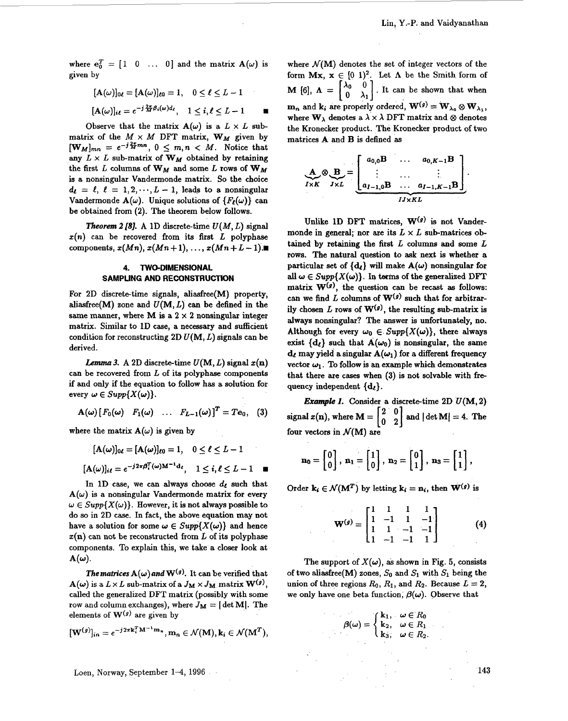where  $e_0^T = [1 \ 0 \ \dots \ 0]$  and the matrix  $A(\omega)$  is<br>given by<br> $[A(\omega)]_{0\ell} = [A(\omega)]_{\ell 0} = 1, \quad 0 \le \ell \le L - 1$ given by

$$
[\mathbf{A}(\omega)]_{0\ell} = [\mathbf{A}(\omega)]_{\ell 0} = 1, \quad 0 \le \ell \le L - 1
$$
  

$$
[\mathbf{A}(\omega)]_{i\ell} = e^{-j\frac{2\pi}{M}\beta_i(\omega)d_{\ell}}, \quad 1 \le i, \ell \le L - 1
$$

Observe that the matrix  $A(\omega)$  is a  $L \times L$  submatrix of the  $M \times M$  DFT matrix,  $W_M$  given by  $[\mathbf{W}_M]_{mn} = e^{-j\frac{2\pi}{M}mn}, 0 \leq m, n \leq M$ . Notice that any  $L \times L$  sub-matrix of  $W_M$  obtained by retaining the first L columns of  $W_M$  and some L rows of  $W_M$ is a nonsingular Vandermonde matrix. **So** the choice  $d_{\ell} = \ell, \ell = 1, 2, \dots, L - 1$ , leads to a nonsingular Vandermonde  $A(\omega)$ . Unique solutions of  $\{F_{\ell}(\omega)\}$  can be obtained from (2). The theorem below follows.

*Theorem 2 [8].* A 1D discrete-time  $U(M, L)$  signal  $x(n)$  can be recovered from its first  $L$  polyphase components,  $x(Mn)$ ,  $x(Mn+1)$ ,  $\ldots$ ,  $x(Mn+L-1)$ .

# **4. TWO-DIMENSIONAL SAMPLING AND RECONSTRUCTION**

**For** 2D discrete-time signals, aliasfree(M) property, aliasfree(M) zone and  $U(M, L)$  can be defined in the same manner, where M is a  $2 \times 2$  nonsingular integer matrix. Similar to **1D** case, a necessary and sufficient condition for reconstructing  $2D U(M, L)$  signals can be derived.

*Lemma 3.* A 2D discrete-time  $U(M, L)$  signal  $x(n)$ can be recovered from L **of** its polyphase components if and only if the equation to follow has a solution for every  $\omega \in Supp\{X(\omega)\}.$ 

$$
\mathbf{A}(\boldsymbol{\omega})\begin{bmatrix}F_0(\boldsymbol{\omega}) & F_1(\boldsymbol{\omega}) & \dots & F_{L-1}(\boldsymbol{\omega})\end{bmatrix}^T = T\mathbf{e}_0, \quad (3)
$$

where the matrix  $A(\omega)$  is given by

$$
[\mathbf{A}(\omega)]_{0\ell} = [\mathbf{A}(\omega)]_{\ell 0} = 1, \quad 0 \le \ell \le L - 1
$$
  

$$
[\mathbf{A}(\omega)]_{i\ell} = e^{-j2\pi\beta_i^T(\omega)\mathbf{M}^{-1}\mathbf{d}_{\ell}}, \quad 1 < i, \ell < L - 1 \quad \blacksquare
$$

In 1D case, we can always choose  $d_{\ell}$  such that  $A(\omega)$  is a nonsingular Vandermonde matrix for every  $\omega \in Supp\{X(\omega)\}\.$  However, it is not always possible to do **so** in 2D case. In fact, the above equation may not have a solution for some  $\omega \in Supp\{X(\omega)\}\)$  and hence  $x(n)$  can not be reconstructed from L of its polyphase components. To explain this, we take a closer look at  ${\bf A}(\boldsymbol{\omega})$ .

*The matrices*  $A(\omega)$  and  $W^{(g)}$ . It can be verified that  $A(\omega)$  is a  $L \times L$  sub-matrix of a  $J_M \times J_M$  matrix  $\mathbf{W}^{(g)}$ , called the generalized DFT matrix (possibly with some row and column exchanges), where  $J_M = |\det M|$ . The elements of  $W^{(g)}$  are given by

$$
[\mathbf{W}^{(g)}]_{in}=e^{-j2\pi\mathbf{k}_{i}^{T}\mathbf{M}^{-1}\mathbf{m}_{n}},\mathbf{m}_{n}\in\mathcal{N}(\mathbf{M}),\mathbf{k}_{i}\in\mathcal{N}(\mathbf{M}^{T}),
$$

Loen, Norway, September 1-4, 1996 143

where  $\mathcal{N}(M)$  denotes the set of integer vectors of the form  $Mx$ ,  $x \in [0, 1)^2$ . Let  $\Lambda$  be the Smith form of **M** [6],  $\Lambda = \begin{bmatrix} \lambda_0 & 0 \\ 0 & \lambda_1 \end{bmatrix}$ . It can be shown that when  $\mathbf{m}_n$  and  $\mathbf{k}_i$  are properly ordered,  $\mathbf{W}^{(g)} = \mathbf{W}_{\lambda_0} \otimes \mathbf{W}_{\lambda_1}$ where  $W_{\lambda}$  denotes a  $\lambda \times \lambda$  DFT matrix and  $\otimes$  denotes the Kronecker product. The Kronecker product of two matrices A and **B** is defined **as** 

$$
\mathbf{A}_{I \times K} \otimes \mathbf{B}_{J \times L} = \underbrace{\begin{bmatrix} a_{0,0} \mathbf{B} & \dots & a_{0,K-1} \mathbf{B} \\ \vdots & \dots & \vdots \\ a_{I-1,0} \mathbf{B} & \dots & a_{I-1,K-1} \mathbf{B} \end{bmatrix}}_{I J \times KL}.
$$

Unlike **1D DFT** matrices, **W(g)** is not Vandermonde in general; nor are its  $L \times L$  sub-matrices obtained by retaining the first  $L$  columns and some  $L$ rows. The natural question to ask next is whether a particular set of  $\{d_{\ell}\}\$  will make  $A(\omega)$  nonsingular for all  $\omega \in Supp\{X(\omega)\}\$ . In terms of the generalized DFT matrix  $W^{(g)}$ , the question can be recast as follows: can we find L columns of  $W^{(g)}$  such that for arbitrarily chosen L rows of  $W^{(g)}$ , the resulting sub-matrix is always nonsingular? The answer is unfortunately, **no.**  Although for every  $\omega_0 \in Supp\{X(\omega)\}\)$ , there always exist  $\{d_{\ell}\}\$  such that  $A(\omega_0)$  is nonsingular, the same  $d_{\ell}$  may yield a singular  $A(\omega_1)$  for a different frequency vector  $\omega_1$ . To follow is an example which demonstrates that there are cases when (3) is not solvable with frequency independent  $\{d_{\ell}\}.$ 

*Example 1.* Consider a discrete-time  $2D U(M, 2)$ signal  $x(n)$ , where  $M = \begin{bmatrix} 2 & 0 \\ 0 & 2 \end{bmatrix}$  and  $|\det M| = 4$ . The four vectors in  $\mathcal{N}(\mathbf{M})$  are

$$
\mathbf{n}_0 = \begin{bmatrix} 0 \\ 0 \end{bmatrix}, \; \mathbf{n}_1 = \begin{bmatrix} 1 \\ 0 \end{bmatrix}, \; \mathbf{n}_2 = \begin{bmatrix} 0 \\ 1 \end{bmatrix}, \; \mathbf{n}_3 = \begin{bmatrix} 1 \\ 1 \end{bmatrix},
$$

Order  $\mathbf{k}_i \in \mathcal{N}(\mathbf{M}^T)$  by letting  $\mathbf{k}_i = \mathbf{n}_i$ , then  $\mathbf{W}^{(g)}$  is

$$
\mathbf{W}^{(g)} = \begin{bmatrix} 1 & 1 & 1 & 1 \\ 1 & -1 & 1 & -1 \\ 1 & 1 & -1 & -1 \\ 1 & -1 & -1 & 1 \end{bmatrix}
$$
 (4)

The support of  $X(\omega)$ , as shown in Fig. 5, consists of two aliasfree(M) zones,  $S_0$  and  $S_1$  with  $S_1$  being the union of three regions  $R_0$ ,  $R_1$ , and  $R_2$ . Because  $L = 2$ , we only have one beta function,  $\beta(\omega)$ . Observe that

$$
\beta(\omega) = \begin{cases} k_1, & \omega \in R_0 \\ k_2, & \omega \in R_1 \\ k_3, & \omega \in R_2. \end{cases}
$$